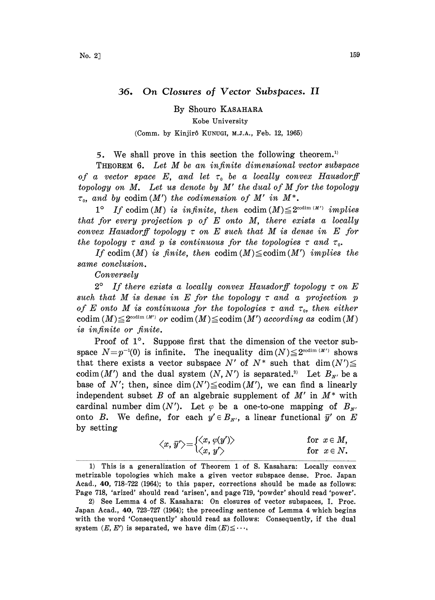## 36. On Closures of Vector Subspaces. II

By Shouro KASAHARA Kobe University (Comm. by Kinjirô KUNUGI, M.J.A., Feb. 12, 1965)

5. We shall prove in this section the following theorem.)

THEOREM 6. Let M be an infinite dimensional vector subspace of a vector space E, and let  $\tau_0$  be a locally convex Hausdorff topology on  $M$ . Let us denote by  $M'$  the dual of  $M$  for the topology  $\tau_o$ , and by codim (M') the codimension of M' in M<sup>\*</sup>.

1° If codim (M) is infinite, then codim  $(M) \leq 2^{\cosh(m(M))}$  implies that for every projection  $p$  of  $E$  onto  $M$ , there exists a locally convex Hausdorff topology  $\tau$  on E such that M is dense in E for the topology  $\tau$  and  $p$  is continuous for the topologies  $\tau$  and  $\tau_o$ .

If codim (M) is finite, then codim  $(M) \leq \mathrm{codim} (M')$  implies the same conclusion.

Conversely

 $2^{\circ}$  If there exists a locally convex Hausdorff topology  $\tau$  on E such that M is dense in E for the topology  $\tau$  and a projection p of E onto M is continuous for the topologies  $\tau$  and  $\tau_0$ , then either of E onto M is continuous for the topologies  $\tau$  and  $\tau_o$ , then either codim  $(M) \leq 2^{\cosh(m(M))}$  or codim  $(M) \leq \text{codim}(M')$  according as  $\text{codim}(M)$ is infinite or finite.

Proof of  $1^\circ$ . Suppose first that the dimension of the vector subspace  $N=p^{-1}(0)$  is infinite. The inequality  $\dim(N) \leq 2^{\text{codim}(M')}$  shows that there exists a vector subspace N' of  $N^*$  such that dim $(N') \leq$ codim(M') and the dual system  $(N, N')$  is separated.<sup>2)</sup> Let  $B_{N'}$  be a base of N'; then, since dim $(N') \leq \mathrm{codim}(M')$ , we can find a linearly independent subset B of an algebraic supplement of  $M'$  in  $M^*$  with cardinal number dim(N'). Let  $\varphi$  be a one-to-one mapping of  $B_{N'}$ onto B. We define, for each  $y' \in B_{N'}$ , a linear functional  $\bar{y}'$  on E by setting

$$
\langle x, \overline{y}' \rangle = \begin{cases} \langle x, \varphi(y') \rangle & \text{for } x \in M, \\ \langle x, y' \rangle & \text{for } x \in N. \end{cases}
$$

<sup>1)</sup> This is a generalization of Theorem <sup>1</sup> of S. Kasahara: Locally convex metrizable topologies which make a given vector subspace dense. Proc. Japan Acad., 40, 718-722 (1964); to this paper, corrections should be made as follows: :Page 718, 'arized' should read 'arisen', and page 719, 'powder' should read 'power'.

<sup>2)</sup> See Lemma 4 of S. Kasahara: On closures of vector subspaces, I. Proc. Japan Acad., 40, 723-727 (1964); the preceding sentence of Lemma 4 which begins with the word 'Consequently' should read as follows: Consequently, if the dual system  $(E, E')$  is separated, we have dim  $(E) \leq \cdots$ .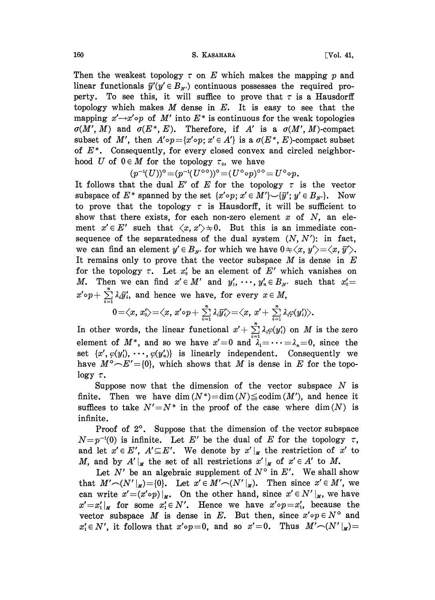Then the weakest topology  $\tau$  on E which makes the mapping p and linear functionals  $\bar{y}'(y' \in B_{N'})$  continuous possesses the required property. To see this, it will suffice to prove that  $\tau$  is a Hausdorff topology which makes  $M$  dense in  $E$ . It is easy to see that the mapping  $x' \rightarrow x' \circ p$  of M' into  $E^*$  is continuous for the weak topologies  $\sigma(M', M)$  and  $\sigma(E^*, E)$ . Therefore, if A' is a  $\sigma(M', M)$ -compact subset of M', then  $A' \circ p = \{x' \circ p; x' \in A'\}$  is a  $\sigma(E^*, E)$ -compact subset of  $E^*$ . Consequently, for every closed convex and circled neighborhood U of  $0 \in M$  for the topology  $\tau_0$ , we have

 $(p^{-1}(U))^{\mathsf{o}} \!=\! (p^{-1}(U^{\mathsf{o}}\mathsf{o}))^{\mathsf{o}} \!=\! (U^{\mathsf{o}}\mathsf{o} p)^{\mathsf{o}}\mathsf{o} = U^{\mathsf{o}}\mathsf{o} p.$ 

It follows that the dual E' of E for the topology  $\tau$  is the vector subspace of  $E^*$  spanned by the set  $\{x' \circ p; x' \in M'\} \setminus \{\overline{y'}; y' \in B_{x'}\}.$  Now to prove that the topology  $\tau$  is Hausdorff, it will be sufficient to show that there exists, for each non-zero element  $x$  of  $N$ , an element  $x' \in E'$  such that  $\langle x, x' \rangle \neq 0$ . But this is an immediate consequence of the separatedness of the dual system  $(N, N')$ : in fact, we can find an element  $y' \in B_{x'}$  for which we have  $0 \neq \langle x, y' \rangle = \langle x, \bar{y}' \rangle$ . It remains only to prove that the vector subspace  $M$  is dense in  $E$ for the topology  $\tau$ . Let  $x'_0$  be an element of E' which vanishes on M. Then we can find  $x' \in M'$  and  $y'_1, \dots, y'_n \in B_{N'}$  such that  $x'_0 = x' \circ p + \sum_{i=1}^{n} \lambda_i \overline{y'_i}$ , and hence we have, for every  $x \in M$ ,  $x' \circ p + \sum_{i=1}^{n} \lambda_i \overline{y'_i}$ , and hence we have, for every  $x \in M$ ,

$$
0=\langle x,\,x'_0\rangle{=}\langle x,\,x'\!\circ\!p+\textstyle\sum\limits_{i=1}^n\lambda_i\overline{y}'_i\rangle{=}\langle x,\,x'+\textstyle\sum\limits_{i=1}^n\lambda_i\varphi(y'_i)\rangle.
$$

In other words, the linear functional  $x' + \sum_{i=1}^{n} \lambda_i \varphi(y'_i)$  on M is the zero element of  $M^*$ , and so we have  $x'=0$  and  $\lambda_1=\cdots=\lambda_n=0$ , since the set  $\{x', \varphi(y'_1), \cdots, \varphi(y'_n)\}\$ is linearly independent. Consequently we have  $M^{\circ} \rightarrow E' = \{0\}$ , which shows that M is dense in E for the topo- $\log y \tau$ .

Suppose now that the dimension of the vector subspace  $N$  is finite. Then we have dim  $(N^*)$  = dim  $(N)$   $\le$  codim  $(M')$ , and hence it suffices to take  $N' = N^*$  in the proof of the case where dim(N) is infinite.

Proof of  $2^\circ$ . Suppose that the dimension of the vector subspace  $N=p^{-1}(0)$  is infinite. Let E' be the dual of E for the topology  $\tau$ , and let  $x' \in E'$ ,  $A' \subseteq E'$ . We denote by  $x' \mid_{x}$  the restriction of  $x'$  to M, and by  $A'|_{\mathcal{M}}$  the set of all restrictions  $x'|_{\mathcal{M}}$  of  $x' \in A'$  to M.

Let  $N'$  be an algebraic supplement of  $N^{\circ}$  in  $E'$ . We shall show that  $M' \frown (N' \vert_{M}) = \{0\}.$  Let  $x' \in M' \frown (N' \vert_{M}).$  Then since  $x' \in M'$ , we can write  $x'=(x' \circ p)|_x$ . On the other hand, since  $x' \in N'|_x$ , we have  $x'=x'_1|_x$  for some  $x'_1 \in N'$ . Hence we have  $x' \circ p = x'_1$ , because the vector subspace M is dense in E. But then, since  $x' \circ p \in N^{\circ}$  and  $x_1' \in N'$ , it follows that  $x' \circ p = 0$ , and so  $x' = 0$ . Thus  $M' \cap (N'|\mu) =$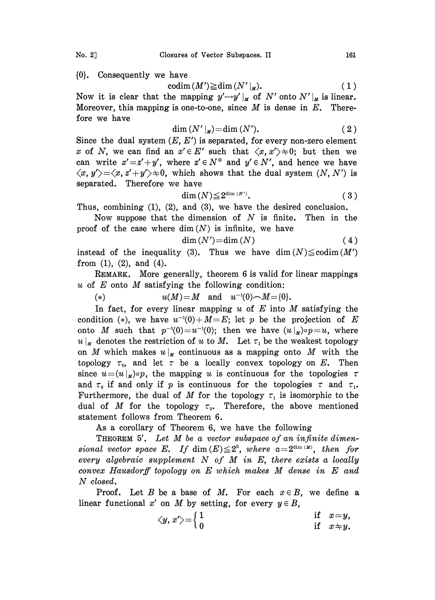{0}. Consequently we have

$$
\mathrm{codim}\,(M')\!\geq\!\mathrm{dim}\,(N'\,|_M). \qquad \qquad (1)
$$

Now it is clear that the mapping  $y' \rightarrow y' |_{x}$  of N' onto N'  $|_{x}$  is linear. Moreover, this mapping is one-to-one, since  $M$  is dense in  $E$ . Therefore we have

$$
\dim (N'|_{M}) = \dim (N'). \qquad (2)
$$

Since the dual system  $(E, E')$  is separated, for every non-zero element x of N, we can find an  $x' \in E'$  such that  $\langle x, x' \rangle \neq 0$ ; but then we can write  $x' = z' + y'$ , where  $z' \in N^{\circ}$  and  $y' \in N'$ , and hence we have  $\langle x, y'\rangle = \langle x, z'+y'\rangle \neq 0$ , which shows that the dual system  $(N, N')$  is separated. Therefore we have

$$
\text{dim}\,(N) \leq 2^{\dim\,(N')}.\tag{3}
$$

Thus, combining (1), (2), and (3), we have the desired conclusion.

Now suppose that the dimension of  $N$  is finite. Then in the proof of the case where dim  $(N)$  is infinite, we have

$$
\dim(N') = \dim(N) \tag{4}
$$

instead of the inequality (3). Thus we have dim $(N) \leq \text{codim}(M')$ from  $(1)$ ,  $(2)$ , and  $(4)$ .

REMARK. More generally, theorem 6 is valid for linear mappings  $u$  of  $E$  onto  $M$  satisfying the following condition:

(\*) 
$$
u(M) = M
$$
 and  $u^{-1}(0) \sim M = \{0\}.$ 

(\*)  $u(M)=M$  and  $u^{-1}(0) \sim M = \{0\}$ .<br>In fact, for every linear mapping u of E into M satisfying the condition (\*), we have  $u^{-1}(0)+M=E$ ; let p be the projection of E onto M such that  $p^{-1}(0)=u^{-1}(0)$ ; then we have  $(u|_M) \circ p=u$ , where  $u|_M$  denotes the restriction of u to M. Let  $\tau_1$  be the weakest topology on M which makes  $u|_M$  continuous as a mapping onto M with the topology  $\tau_0$ , and let  $\tau$  be a locally convex topology on E. Then since  $u=(u \vert_{\mathcal{U}}) \circ p$ , the mapping u is continuous for the topologies  $\tau$ and  $\tau_0$  if and only if p is continuous for the topologies  $\tau$  and  $\tau_1$ . Furthermore, the dual of M for the topology  $\tau_1$  is isomorphic to the dual of M for the topology  $\tau_0$ . Therefore, the above mentioned statement follows from Theorem 6.

As a corollary of Theorem 6, we have the following

THEOREM 5'. Let M be <sup>a</sup> vector subspace of an infinite dimensional vector space E. If dim  $(E) \leq 2^a$ , where  $a=2^{\dim(M)}$ , then for every algebraic supplement  $N$  of  $M$  in  $E$ , there exists a locally convex Hausdorff topology on E which makes M dense in E and N closed.

Proof. Let B be a base of M. For each  $x \in B$ , we define a linear functional x' on M by setting, for every  $y \in B$ ,

$$
\langle y, x' \rangle = \begin{cases} 1 & \text{if } x = y, \\ 0 & \text{if } x \div y. \end{cases}
$$